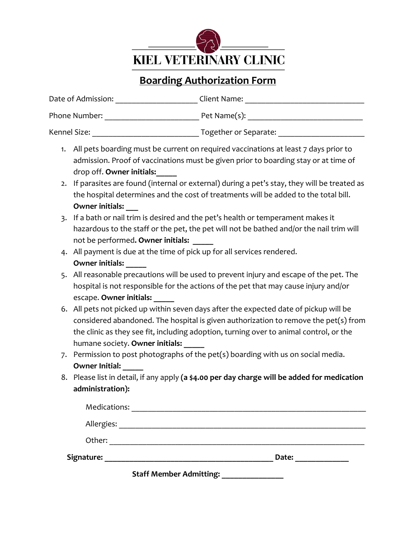

## **Boarding Authorization Form**

| Date of Admission: | Client Name:          |  |
|--------------------|-----------------------|--|
| Phone Number:      | Pet Name(s):          |  |
| Kennel Size:       | Together or Separate: |  |

- 1. All pets boarding must be current on required vaccinations at least 7 days prior to admission. Proof of vaccinations must be given prior to boarding stay or at time of drop off. **Owner initials:\_\_\_\_\_**
- 2. If parasites are found (internal or external) during a pet's stay, they will be treated as the hospital determines and the cost of treatments will be added to the total bill. **Owner initials: \_\_\_**
- 3. If a bath or nail trim is desired and the pet's health or temperament makes it hazardous to the staff or the pet, the pet will not be bathed and/or the nail trim will not be performed**. Owner initials: \_\_\_\_\_**
- 4. All payment is due at the time of pick up for all services rendered. **Owner initials:**
- 5. All reasonable precautions will be used to prevent injury and escape of the pet. The hospital is not responsible for the actions of the pet that may cause injury and/or escape. **Owner initials: \_\_\_\_\_**
- 6. All pets not picked up within seven days after the expected date of pickup will be considered abandoned. The hospital is given authorization to remove the pet(s) from the clinic as they see fit, including adoption, turning over to animal control, or the humane society. **Owner initials: \_\_\_\_\_**
- 7. Permission to post photographs of the pet(s) boarding with us on social media. **Owner Initial:**
- 8. Please list in detail, if any apply **(a \$4.00 per day charge will be added for medication administration):**

| <b>Staff Member Admitting:</b> |       |  |
|--------------------------------|-------|--|
| Signature:                     | Date: |  |
| Other:                         |       |  |
| Allergies:                     |       |  |
| Medications:                   |       |  |

**Staff Member Admitting: \_\_\_\_\_\_\_\_\_\_\_\_\_\_\_**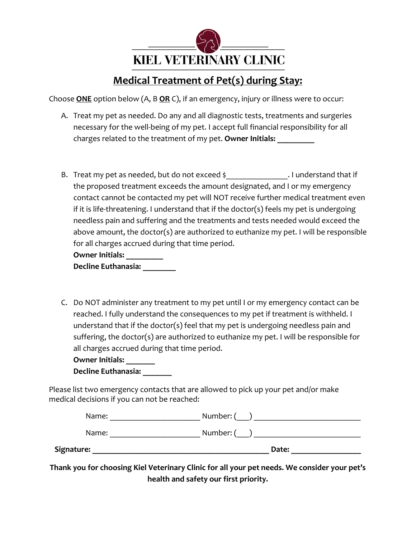

## **Medical Treatment of Pet(s) during Stay:**

Choose **ONE** option below (A, B **OR** C), if an emergency, injury or illness were to occur:

- A. Treat my pet as needed. Do any and all diagnostic tests, treatments and surgeries necessary for the well-being of my pet. I accept full financial responsibility for all charges related to the treatment of my pet. **Owner Initials: \_\_\_\_\_\_\_\_\_**
- B. Treat my pet as needed, but do not exceed \$ . I understand that if the proposed treatment exceeds the amount designated, and I or my emergency contact cannot be contacted my pet will NOT receive further medical treatment even if it is life-threatening. I understand that if the doctor(s) feels my pet is undergoing needless pain and suffering and the treatments and tests needed would exceed the above amount, the doctor(s) are authorized to euthanize my pet. I will be responsible for all charges accrued during that time period. **Owner Initials: \_\_\_\_\_\_\_\_\_**

**Decline Euthanasia: \_\_\_\_\_\_\_\_**

C. Do NOT administer any treatment to my pet until I or my emergency contact can be reached. I fully understand the consequences to my pet if treatment is withheld. I understand that if the doctor(s) feel that my pet is undergoing needless pain and suffering, the doctor(s) are authorized to euthanize my pet. I will be responsible for all charges accrued during that time period.

**Owner Initials: \_\_\_\_\_\_\_** 

**Decline Euthanasia: \_\_\_\_\_\_\_**

Please list two emergency contacts that are allowed to pick up your pet and/or make medical decisions if you can not be reached:

| Signature: | Date:     |  |
|------------|-----------|--|
| Name:      | Number: ( |  |
| Name:      | Number: ( |  |

**Thank you for choosing Kiel Veterinary Clinic for all your pet needs. We consider your pet's health and safety our first priority.**